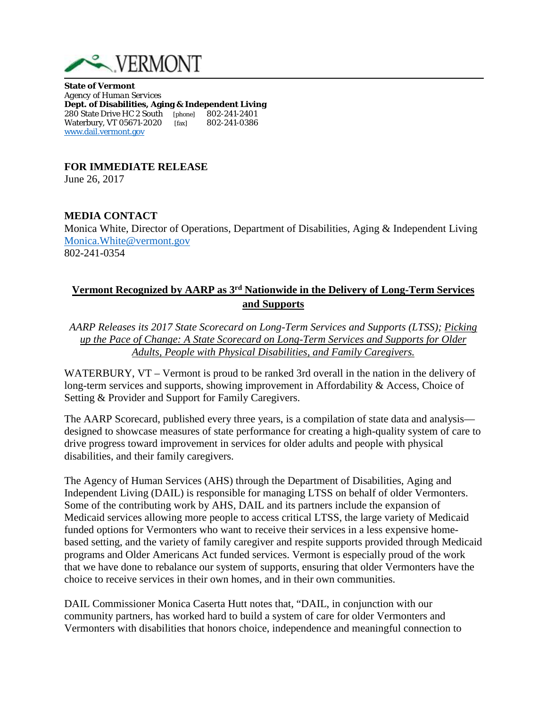

**State of Vermont**  *Agency of Human Services* **Dept. of Disabilities, Aging & Independent Living** 280 State Drive HC 2 South[phone] 802-241-2401 Waterbury, VT 05671-2020 [fax] [www.dail.vermont.gov](http://www.dail.vermont.gov/)

**FOR IMMEDIATE RELEASE**

June 26, 2017

## **MEDIA CONTACT**

Monica White, Director of Operations, Department of Disabilities, Aging & Independent Living [Monica.White@vermont.gov](mailto:Monica.White@vermont.gov) 802-241-0354

## **Vermont Recognized by AARP as 3rd Nationwide in the Delivery of Long-Term Services and Supports**

*AARP Releases its 2017 State Scorecard on Long-Term Services and Supports (LTSS); Picking up the Pace of Change: A State Scorecard on Long-Term Services and Supports for Older Adults, People with Physical Disabilities, and Family Caregivers.* 

WATERBURY, VT – Vermont is proud to be ranked 3rd overall in the nation in the delivery of long-term services and supports, showing improvement in Affordability & Access, Choice of Setting & Provider and Support for Family Caregivers.

The AARP Scorecard, published every three years, is a compilation of state data and analysis designed to showcase measures of state performance for creating a high-quality system of care to drive progress toward improvement in services for older adults and people with physical disabilities, and their family caregivers.

The Agency of Human Services (AHS) through the Department of Disabilities, Aging and Independent Living (DAIL) is responsible for managing LTSS on behalf of older Vermonters. Some of the contributing work by AHS, DAIL and its partners include the expansion of Medicaid services allowing more people to access critical LTSS, the large variety of Medicaid funded options for Vermonters who want to receive their services in a less expensive homebased setting, and the variety of family caregiver and respite supports provided through Medicaid programs and Older Americans Act funded services. Vermont is especially proud of the work that we have done to rebalance our system of supports, ensuring that older Vermonters have the choice to receive services in their own homes, and in their own communities.

DAIL Commissioner Monica Caserta Hutt notes that, "DAIL, in conjunction with our community partners, has worked hard to build a system of care for older Vermonters and Vermonters with disabilities that honors choice, independence and meaningful connection to